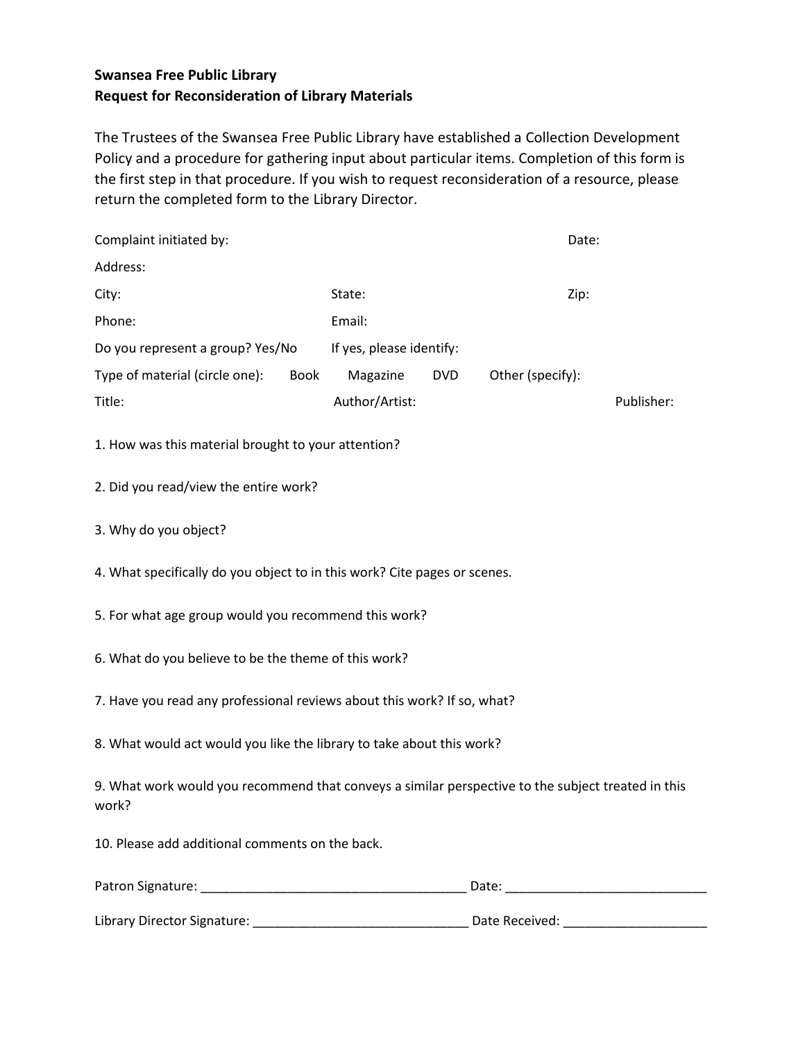## **Swansea Free Public Library Request for Reconsideration of Library Materials**

The Trustees of the Swansea Free Public Library have established a Collection Development Policy and a procedure for gathering input about particular items. Completion of this form is the first step in that procedure. If you wish to request reconsideration of a resource, please return the completed form to the Library Director.

| Complaint initiated by:                                                                                     |                          |            | Date:                                                                                                                                                                                                                          |            |
|-------------------------------------------------------------------------------------------------------------|--------------------------|------------|--------------------------------------------------------------------------------------------------------------------------------------------------------------------------------------------------------------------------------|------------|
| Address:                                                                                                    |                          |            |                                                                                                                                                                                                                                |            |
| City:                                                                                                       | State:                   |            | Zip:                                                                                                                                                                                                                           |            |
| Phone:                                                                                                      | Email:                   |            |                                                                                                                                                                                                                                |            |
| Do you represent a group? Yes/No                                                                            | If yes, please identify: |            |                                                                                                                                                                                                                                |            |
| Type of material (circle one):<br><b>Book</b>                                                               | Magazine                 | <b>DVD</b> | Other (specify):                                                                                                                                                                                                               |            |
| Title:                                                                                                      | Author/Artist:           |            |                                                                                                                                                                                                                                | Publisher: |
| 1. How was this material brought to your attention?                                                         |                          |            |                                                                                                                                                                                                                                |            |
| 2. Did you read/view the entire work?                                                                       |                          |            |                                                                                                                                                                                                                                |            |
| 3. Why do you object?                                                                                       |                          |            |                                                                                                                                                                                                                                |            |
| 4. What specifically do you object to in this work? Cite pages or scenes.                                   |                          |            |                                                                                                                                                                                                                                |            |
| 5. For what age group would you recommend this work?                                                        |                          |            |                                                                                                                                                                                                                                |            |
| 6. What do you believe to be the theme of this work?                                                        |                          |            |                                                                                                                                                                                                                                |            |
| 7. Have you read any professional reviews about this work? If so, what?                                     |                          |            |                                                                                                                                                                                                                                |            |
| 8. What would act would you like the library to take about this work?                                       |                          |            |                                                                                                                                                                                                                                |            |
| 9. What work would you recommend that conveys a similar perspective to the subject treated in this<br>work? |                          |            |                                                                                                                                                                                                                                |            |
| 10. Please add additional comments on the back.                                                             |                          |            |                                                                                                                                                                                                                                |            |
|                                                                                                             |                          |            |                                                                                                                                                                                                                                |            |
| Library Director Signature:                                                                                 |                          |            | Date Received: National Property of the Contract of the Contract of the Contract of the Contract of the Contract of the Contract of the Contract of the Contract of the Contract of the Contract of the Contract of the Contra |            |